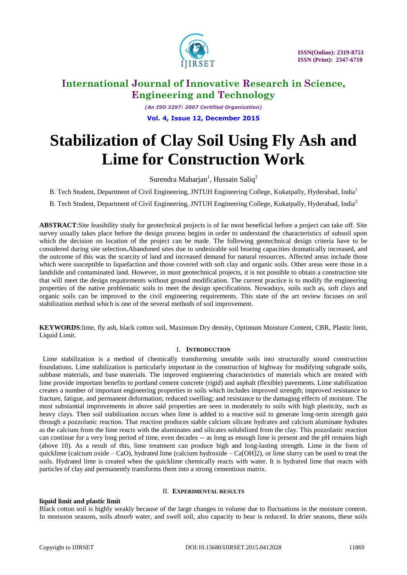

*(An ISO 3297: 2007 Certified Organization)* **Vol. 4, Issue 12, December 2015**

# **Stabilization of Clay Soil Using Fly Ash and Lime for Construction Work**

Surendra Maharjan<sup>1</sup>, Hussain Saliq<sup>2</sup>

B. Tech Student, Department of Civil Engineering, JNTUH Engineering College, Kukatpally, Hyderabad, India<sup>1</sup>

B. Tech Student, Department of Civil Engineering, JNTUH Engineering College, Kukatpally, Hyderabad, India<sup>2</sup>

**ABSTRACT**:Site feasibility study for geotechnical projects is of far most beneficial before a project can take off. Site survey usually takes place before the design process begins in order to understand the characteristics of subsoil upon which the decision on location of the project can be made. The following geotechnical design criteria have to be considered during site selection**.**Abandoned sites due to undesirable soil bearing capacities dramatically increased, and the outcome of this was the scarcity of land and increased demand for natural resources. Affected areas include those which were susceptible to liquefaction and those covered with soft clay and organic soils. Other areas were those in a landslide and contaminated land. However, in most geotechnical projects, it is not possible to obtain a construction site that will meet the design requirements without ground modification. The current practice is to modify the engineering properties of the native problematic soils to meet the design specifications. Nowadays, soils such as, soft clays and organic soils can be improved to the civil engineering requirements. This state of the art review focuses on soil stabilization method which is one of the several methods of soil improvement.

**KEYWORDS**:lime, fly ash, black cotton soil, Maximum Dry density, Optimum Moisture Content, CBR, Plastic limit, Liquid Limit.

### I. **INTRODUCTION**

 Lime stabilization is a method of chemically transforming unstable soils into structurally sound construction foundations. Lime stabilization is particularly important in the construction of highway for modifying subgrade soils, subbase materials, and base materials. The improved engineering characteristics of materials which are treated with lime provide important benefits to portland cement concrete (rigid) and asphalt (flexible) pavements. Lime stabilization creates a number of important engineering properties in soils which includes improved strength; improved resistance to fracture, fatigue, and permanent deformation; reduced swelling; and resistance to the damaging effects of moisture. The most substantial improvements in above said properties are seen in moderately to soils with high plasticity, such as heavy clays. Then soil stabilization occurs when lime is added to a reactive soil to generate long-term strength gain through a pozzolanic reaction. That reaction produces stable calcium silicate hydrates and calcium aluminate hydrates as the calcium from the lime reacts with the aluminates and silicates solubilized from the clay. This pozzolanic reaction can continue for a very long period of time, even decades -- as long as enough lime is present and the pH remains high (above 10). As a result of this, lime treatment can produce high and long-lasting strength. Lime in the form of quicklime (calcium oxide – CaO), hydrated lime (calcium hydroxide – Ca[OH]2), or lime slurry can be used to treat the soils. Hydrated lime is created when the quicklime chemically reacts with water. It is hydrated lime that reacts with particles of clay and permanently transforms them into a strong cementious matrix.

### II. **EXPERIMENTAL RESULTS**

### **liquid limit and plastic limit**

Black cotton soil is highly weakly because of the large changes in volume due to fluctuations in the moisture content. In monsoon seasons, soils absorb water, and swell soil, also capacity to bear is reduced. In drier seasons, these soils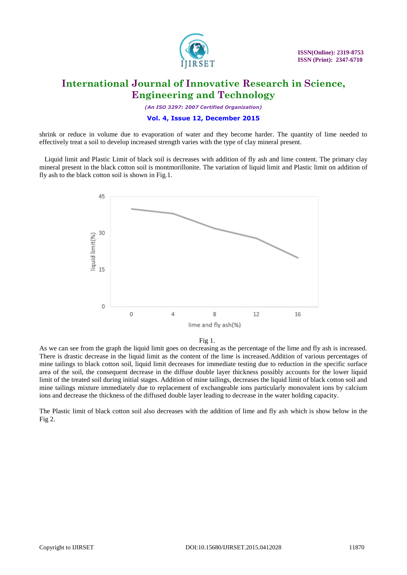

*(An ISO 3297: 2007 Certified Organization)*

### **Vol. 4, Issue 12, December 2015**

shrink or reduce in volume due to evaporation of water and they become harder. The quantity of lime needed to effectively treat a soil to develop increased strength varies with the type of clay mineral present.

 Liquid limit and Plastic Limit of black soil is decreases with addition of fly ash and lime content. The primary clay mineral present in the black cotton soil is montmorillonite. The variation of liquid limit and Plastic limit on addition of fly ash to the black cotton soil is shown in Fig.1.



#### Fig 1.

As we can see from the graph the liquid limit goes on decreasing as the percentage of the lime and fly ash is increased. There is drastic decrease in the liquid limit as the content of the lime is increased.Addition of various percentages of mine tailings to black cotton soil, liquid limit decreases for immediate testing due to reduction in the specific surface area of the soil, the consequent decrease in the diffuse double layer thickness possibly accounts for the lower liquid limit of the treated soil during initial stages. Addition of mine tailings, decreases the liquid limit of black cotton soil and mine tailings mixture immediately due to replacement of exchangeable ions particularly monovalent ions by calcium ions and decrease the thickness of the diffused double layer leading to decrease in the water holding capacity.

The Plastic limit of black cotton soil also decreases with the addition of lime and fly ash which is show below in the Fig 2.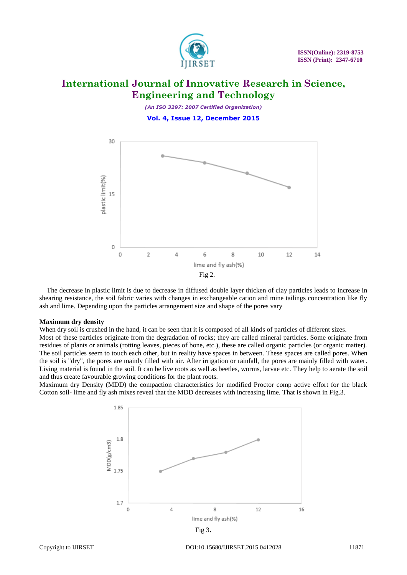

*(An ISO 3297: 2007 Certified Organization)* **Vol. 4, Issue 12, December 2015**



The decrease in plastic limit is due to decrease in diffused double layer thicken of clay particles leads to increase in shearing resistance, the soil fabric varies with changes in exchangeable cation and mine tailings concentration like fly ash and lime. Depending upon the particles arrangement size and shape of the pores vary

#### **Maximum dry density**

When dry soil is crushed in the hand, it can be seen that it is composed of all kinds of particles of different sizes.

Most of these particles originate from the degradation of rocks; they are called mineral particles. Some originate from residues of plants or animals (rotting leaves, pieces of bone, etc.), these are called organic particles (or organic matter). The soil particles seem to touch each other, but in reality have spaces in between. These spaces are called pores. When the soil is "dry", the pores are mainly filled with air. After irrigation or rainfall, the pores are mainly filled with water. Living material is found in the soil. It can be live roots as well as beetles, worms, larvae etc. They help to aerate the soil and thus create favourable growing conditions for the plant roots.

Maximum dry Density (MDD) the compaction characteristics for modified Proctor comp active effort for the black Cotton soil- lime and fly ash mixes reveal that the MDD decreases with increasing lime. That is shown in Fig.3.



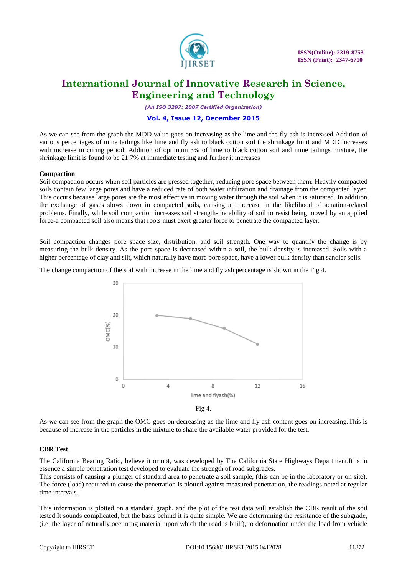

*(An ISO 3297: 2007 Certified Organization)*

#### **Vol. 4, Issue 12, December 2015**

As we can see from the graph the MDD value goes on increasing as the lime and the fly ash is increased.Addition of various percentages of mine tailings like lime and fly ash to black cotton soil the shrinkage limit and MDD increases with increase in curing period. Addition of optimum 3% of lime to black cotton soil and mine tailings mixture, the shrinkage limit is found to be 21.7% at immediate testing and further it increases

#### **Compaction**

Soil compaction occurs when soil particles are pressed together, reducing pore space between them. Heavily compacted soils contain few large pores and have a reduced rate of both water infiltration and drainage from the compacted layer. This occurs because large pores are the most effective in moving water through the soil when it is saturated. In addition, the exchange of gases slows down in compacted soils, causing an increase in the likelihood of aeration-related problems. Finally, while soil compaction increases soil strength-the ability of soil to resist being moved by an applied force-a compacted soil also means that roots must exert greater force to penetrate the compacted layer.

Soil compaction changes pore space size, distribution, and soil strength. One way to quantify the change is by measuring the bulk density. As the pore space is decreased within a soil, the bulk density is increased. Soils with a higher percentage of clay and silt, which naturally have more pore space, have a lower bulk density than sandier soils.

The change compaction of the soil with increase in the lime and fly ash percentage is shown in the Fig 4.



Fig 4.

As we can see from the graph the OMC goes on decreasing as the lime and fly ash content goes on increasing.This is because of increase in the particles in the mixture to share the available water provided for the test.

### **CBR Test**

The California Bearing Ratio, believe it or not, was developed by The California State Highways Department.It is in essence a simple penetration test developed to evaluate the strength of road subgrades.

This consists of causing a plunger of standard area to penetrate a soil sample, (this can be in the laboratory or on site). The force (load) required to cause the penetration is plotted against measured penetration, the readings noted at regular time intervals.

This information is plotted on a standard graph, and the plot of the test data will establish the CBR result of the soil tested.It sounds complicated, but the basis behind it is quite simple. We are determining the resistance of the subgrade, (i.e. the layer of naturally occurring material upon which the road is built), to deformation under the load from vehicle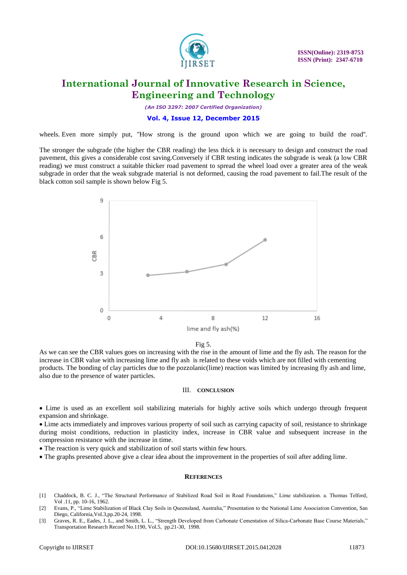

*(An ISO 3297: 2007 Certified Organization)*

#### **Vol. 4, Issue 12, December 2015**

wheels. Even more simply put, "How strong is the ground upon which we are going to build the road".

The stronger the subgrade (the higher the CBR reading) the less thick it is necessary to design and construct the road pavement, this gives a considerable cost saving.Conversely if CBR testing indicates the subgrade is weak (a low CBR reading) we must construct a suitable thicker road pavement to spread the wheel load over a greater area of the weak subgrade in order that the weak subgrade material is not deformed, causing the road pavement to fail.The result of the black cotton soil sample is shown below Fig 5.



#### Fig 5.

As we can see the CBR values goes on increasing with the rise in the amount of lime and the fly ash. The reason for the increase in CBR value with increasing lime and fly ash is related to these voids which are not filled with cementing products. The bonding of clay particles due to the pozzolanic(lime) reaction was limited by increasing fly ash and lime, also due to the presence of water particles.

#### III. **CONCLUSION**

 Lime is used as an excellent soil stabilizing materials for highly active soils which undergo through frequent expansion and shrinkage.

 Lime acts immediately and improves various property of soil such as carrying capacity of soil, resistance to shrinkage during moist conditions, reduction in plasticity index, increase in CBR value and subsequent increase in the compression resistance with the increase in time.

• The reaction is very quick and stabilization of soil starts within few hours.

The graphs presented above give a clear idea about the improvement in the properties of soil after adding lime.

#### **REFERENCES**

- [1] Chaddock, B. C. J., "The Structural Performance of Stabilized Road Soil in Road Foundations," Lime stabilization. a. Thomas Telford, Vol .11, pp. 10-16, 1962.
- [2] Evans, P., "Lime Stabilization of Black Clay Soils in Queensland, Australia," Presentation to the National Lime Association Convention, San Diego, California,Vol.3,pp.20-24, 1998.
- [3] Graves, R. E., Eades, J. L., and Smith, L. L., "Strength Developed from Carbonate Cementation of Silica-Carbonate Base Course Materials," Transportation Research Record No.1190, Vol.5, pp.21-30, 1998.